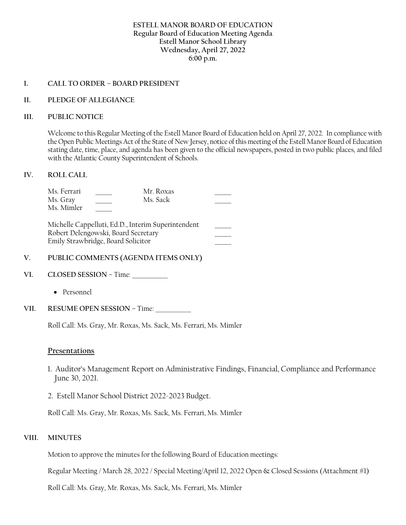### **ESTELL MANOR BOARD OF EDUCATION Regular Board of Education Meeting Agenda Estell Manor School Library Wednesday, April 27, 2022 6:00 p.m.**

### **I. CALL TO ORDER – BOARD PRESIDENT**

### **II. PLEDGE OF ALLEGIANCE**

### **III. PUBLIC NOTICE**

Welcome to this Regular Meeting of the Estell Manor Board of Education held on April 27, 2022. In compliance with the Open Public Meetings Act of the State of New Jersey, notice of this meeting of the Estell Manor Board of Education stating date, time, place, and agenda has been given to the official newspapers, posted in two public places, and filed with the Atlantic County Superintendent of Schools.

### **IV. ROLL CALL**

| Ms. Ferrari | Mr. Roxas                                          |  |
|-------------|----------------------------------------------------|--|
| Ms. Gray    | Ms. Sack                                           |  |
| Ms. Mimler  |                                                    |  |
|             | Michelle Cappelluti, Ed.D., Interim Superintendent |  |
|             | Robert Delengowski, Board Secretary                |  |
|             | Emily Strawbridge, Board Solicitor                 |  |

### **V. PUBLIC COMMENTS (AGENDA ITEMS ONLY)**

- VI. CLOSED SESSION Time:
	- Personnel

VII. RESUME OPEN SESSION – Time:

Roll Call: Ms. Gray, Mr. Roxas, Ms. Sack, Ms. Ferrari, Ms. Mimler

### **Presentations**

- 1. Auditor's Management Report on Administrative Findings, Financial, Compliance and Performance June 30, 2021.
- 2. Estell Manor School District 2022-2023 Budget.

Roll Call: Ms. Gray, Mr. Roxas, Ms. Sack, Ms. Ferrari, Ms. Mimler

### **VIII. MINUTES**

Motion to approve the minutes for the following Board of Education meetings:

Regular Meeting / March 28, 2022 / Special Meeting/April 12, 2022 Open & Closed Sessions (Attachment #1)

Roll Call: Ms. Gray, Mr. Roxas, Ms. Sack, Ms. Ferrari, Ms. Mimler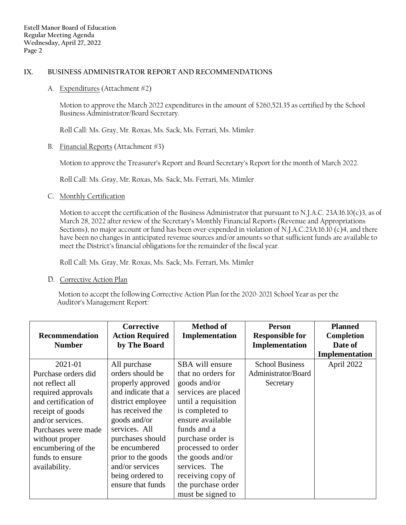### **IX. BUSINESS ADMINISTRATOR REPORT AND RECOMMENDATIONS**

A. Expenditures (Attachment #2)

Motion to approve the March 2022 expenditures in the amount of \$260,521.35 as certified by the School Business Administrator/Board Secretary.

Roll Call: Ms. Gray, Mr. Roxas, Ms. Sack, Ms. Ferrari, Ms. Mimler

B. Financial Reports (Attachment #3)

Motion to approve the Treasurer's Report and Board Secretary's Report for the month of March 2022.

Roll Call: Ms. Gray, Mr. Roxas, Ms. Sack, Ms. Ferrari, Ms. Mimler

C. Monthly Certification

Motion to accept the certification of the Business Administrator that pursuant to N.J.A.C. 23A:16.10(c)3, as of March 28, 2022 after review of the Secretary's Monthly Financial Reports (Revenue and Appropriations Sections), no major account or fund has been over-expended in violation of N.J.A.C.23A:16.10 (c)4, and there have been no changes in anticipated revenue sources and/or amounts so that sufficient funds are available to meet the District's financial obligations for the remainder of the fiscal year.

Roll Call: Ms. Gray, Mr. Roxas, Ms. Sack, Ms. Ferrari, Ms. Mimler

D. Corrective Action Plan

 Motion to accept the following Corrective Action Plan for the 2020-2021 School Year as per the Auditor's Management Report:

| <b>Recommendation</b> | <b>Corrective</b><br><b>Action Required</b> | <b>Method of</b><br>Implementation | <b>Person</b><br><b>Responsible for</b> | <b>Planned</b><br>Completion |
|-----------------------|---------------------------------------------|------------------------------------|-----------------------------------------|------------------------------|
| <b>Number</b>         | by The Board                                |                                    | Implementation                          | Date of                      |
|                       |                                             |                                    |                                         | Implementation               |
| 2021-01               | All purchase                                | SBA will ensure                    | <b>School Business</b>                  | April 2022                   |
| Purchase orders did   | orders should be                            | that no orders for                 | Administrator/Board                     |                              |
| not reflect all       | properly approved                           | goods and/or                       | Secretary                               |                              |
| required approvals    | and indicate that a                         | services are placed                |                                         |                              |
| and certification of  | district employee                           | until a requisition                |                                         |                              |
| receipt of goods      | has received the                            | is completed to                    |                                         |                              |
| and/or services.      | goods and/or                                | ensure available                   |                                         |                              |
| Purchases were made   | services. All                               | funds and a                        |                                         |                              |
| without proper        | purchases should                            | purchase order is                  |                                         |                              |
| encumbering of the    | be encumbered                               | processed to order                 |                                         |                              |
| funds to ensure       | prior to the goods                          | the goods and/or                   |                                         |                              |
| availability.         | and/or services                             | services. The                      |                                         |                              |
|                       | being ordered to                            | receiving copy of                  |                                         |                              |
|                       | ensure that funds                           | the purchase order                 |                                         |                              |
|                       |                                             | must be signed to                  |                                         |                              |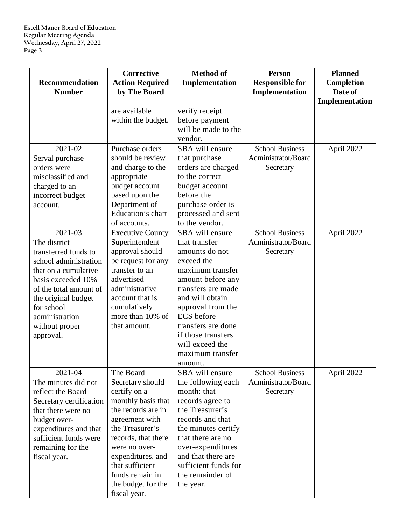| <b>Recommendation</b><br><b>Number</b>                                                                                                                                                                                                 | <b>Corrective</b><br><b>Action Required</b><br>by The Board                                                                                                                                                                                                             | <b>Method of</b><br>Implementation                                                                                                                                                                                                                                                         | <b>Person</b><br><b>Responsible for</b><br>Implementation  | <b>Planned</b><br>Completion<br>Date of<br>Implementation |
|----------------------------------------------------------------------------------------------------------------------------------------------------------------------------------------------------------------------------------------|-------------------------------------------------------------------------------------------------------------------------------------------------------------------------------------------------------------------------------------------------------------------------|--------------------------------------------------------------------------------------------------------------------------------------------------------------------------------------------------------------------------------------------------------------------------------------------|------------------------------------------------------------|-----------------------------------------------------------|
|                                                                                                                                                                                                                                        | are available<br>within the budget.                                                                                                                                                                                                                                     | verify receipt<br>before payment<br>will be made to the<br>vendor.                                                                                                                                                                                                                         |                                                            |                                                           |
| 2021-02<br>Serval purchase<br>orders were<br>misclassified and<br>charged to an<br>incorrect budget<br>account.                                                                                                                        | Purchase orders<br>should be review<br>and charge to the<br>appropriate<br>budget account<br>based upon the<br>Department of<br>Education's chart<br>of accounts.                                                                                                       | SBA will ensure<br>that purchase<br>orders are charged<br>to the correct<br>budget account<br>before the<br>purchase order is<br>processed and sent<br>to the vendor.                                                                                                                      | <b>School Business</b><br>Administrator/Board<br>Secretary | April 2022                                                |
| 2021-03<br>The district<br>transferred funds to<br>school administration<br>that on a cumulative<br>basis exceeded 10%<br>of the total amount of<br>the original budget<br>for school<br>administration<br>without proper<br>approval. | <b>Executive County</b><br>Superintendent<br>approval should<br>be request for any<br>transfer to an<br>advertised<br>administrative<br>account that is<br>cumulatively<br>more than 10% of<br>that amount.                                                             | SBA will ensure<br>that transfer<br>amounts do not<br>exceed the<br>maximum transfer<br>amount before any<br>transfers are made<br>and will obtain<br>approval from the<br><b>ECS</b> before<br>transfers are done<br>if those transfers<br>will exceed the<br>maximum transfer<br>amount. | <b>School Business</b><br>Administrator/Board<br>Secretary | April 2022                                                |
| 2021-04<br>The minutes did not<br>reflect the Board<br>Secretary certification<br>that there were no<br>budget over-<br>expenditures and that<br>sufficient funds were<br>remaining for the<br>fiscal year.                            | The Board<br>Secretary should<br>certify on a<br>monthly basis that<br>the records are in<br>agreement with<br>the Treasurer's<br>records, that there<br>were no over-<br>expenditures, and<br>that sufficient<br>funds remain in<br>the budget for the<br>fiscal year. | SBA will ensure<br>the following each<br>month: that<br>records agree to<br>the Treasurer's<br>records and that<br>the minutes certify<br>that there are no<br>over-expenditures<br>and that there are<br>sufficient funds for<br>the remainder of<br>the year.                            | <b>School Business</b><br>Administrator/Board<br>Secretary | April 2022                                                |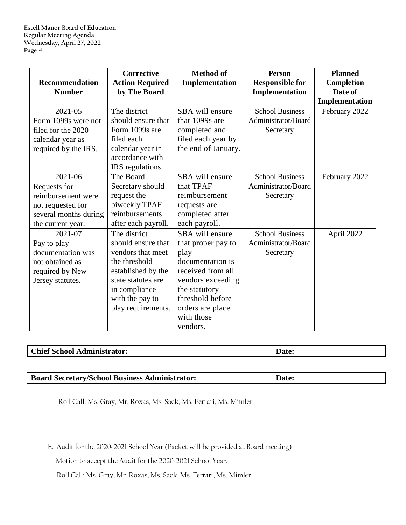| <b>Recommendation</b><br><b>Number</b>                                                                           | <b>Corrective</b><br><b>Action Required</b><br>by The Board                                                                                                                    | <b>Method of</b><br>Implementation                                                                                                                                                             | <b>Person</b><br><b>Responsible for</b><br>Implementation  | <b>Planned</b><br>Completion<br>Date of<br>Implementation |
|------------------------------------------------------------------------------------------------------------------|--------------------------------------------------------------------------------------------------------------------------------------------------------------------------------|------------------------------------------------------------------------------------------------------------------------------------------------------------------------------------------------|------------------------------------------------------------|-----------------------------------------------------------|
| 2021-05<br>Form 1099s were not<br>filed for the 2020<br>calendar year as<br>required by the IRS.                 | The district<br>should ensure that<br>Form 1099s are<br>filed each<br>calendar year in<br>accordance with<br>IRS regulations.                                                  | SBA will ensure<br>that 1099s are<br>completed and<br>filed each year by<br>the end of January.                                                                                                | <b>School Business</b><br>Administrator/Board<br>Secretary | February 2022                                             |
| 2021-06<br>Requests for<br>reimbursement were<br>not requested for<br>several months during<br>the current year. | The Board<br>Secretary should<br>request the<br>biweekly TPAF<br>reimbursements<br>after each payroll.                                                                         | SBA will ensure<br>that TPAF<br>reimbursement<br>requests are<br>completed after<br>each payroll.                                                                                              | <b>School Business</b><br>Administrator/Board<br>Secretary | February 2022                                             |
| 2021-07<br>Pay to play<br>documentation was<br>not obtained as<br>required by New<br>Jersey statutes.            | The district<br>should ensure that<br>vendors that meet<br>the threshold<br>established by the<br>state statutes are<br>in compliance<br>with the pay to<br>play requirements. | SBA will ensure<br>that proper pay to<br>play<br>documentation is<br>received from all<br>vendors exceeding<br>the statutory<br>threshold before<br>orders are place<br>with those<br>vendors. | <b>School Business</b><br>Administrator/Board<br>Secretary | April 2022                                                |

## **Chief School Administrator: Date:**

# **Board Secretary/School Business Administrator: Date:**

Roll Call: Ms. Gray, Mr. Roxas, Ms. Sack, Ms. Ferrari, Ms. Mimler

E. Audit for the 2020-2021 School Year (Packet will be provided at Board meeting)

Motion to accept the Audit for the 2020-2021 School Year.

Roll Call: Ms. Gray, Mr. Roxas, Ms. Sack, Ms. Ferrari, Ms. Mimler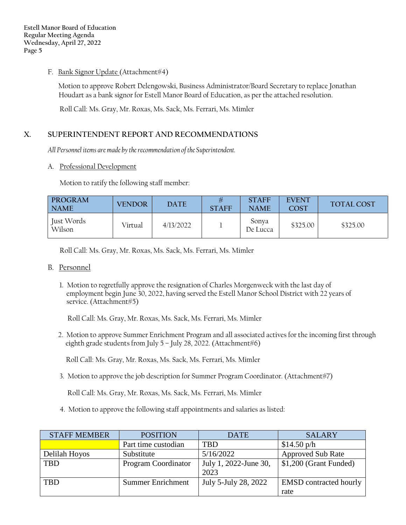## F. Bank Signor Update (Attachment#4)

 Motion to approve Robert Delengowski, Business Administrator/Board Secretary to replace Jonathan Houdart as a bank signor for Estell Manor Board of Education, as per the attached resolution.

Roll Call: Ms. Gray, Mr. Roxas, Ms. Sack, Ms. Ferrari, Ms. Mimler

## **X. SUPERINTENDENT REPORT AND RECOMMENDATIONS**

*All Personnel items are made by the recommendation of the Superintendent.*

A. Professional Development

Motion to ratify the following staff member:

| <b>PROGRAM</b><br><b>NAME</b> | <b>VENDOR</b> | <b>DATE</b> | <b>STAFF</b> | <b>STAFF</b><br><b>NAME</b> | <b>EVENT</b><br>COST | <b>TOTAL COST</b> |
|-------------------------------|---------------|-------------|--------------|-----------------------------|----------------------|-------------------|
| Just Words<br>Wilson          | Virtual       | 4/13/2022   |              | Sonya<br>De Lucca           | \$325.00             | \$325.00          |

Roll Call: Ms. Gray, Mr. Roxas, Ms. Sack, Ms. Ferrari, Ms. Mimler

## B. Personnel

 1. Motion to regretfully approve the resignation of Charles Morgenweck with the last day of employment begin June 30, 2022, having served the Estell Manor School District with 22 years of service. (Attachment#5)

Roll Call: Ms. Gray, Mr. Roxas, Ms. Sack, Ms. Ferrari, Ms. Mimler

 2. Motion to approve Summer Enrichment Program and all associated actives for the incoming first through eighth grade students from July 5 - July 28, 2022. (Attachment#6)

Roll Call: Ms. Gray, Mr. Roxas, Ms. Sack, Ms. Ferrari, Ms. Mimler

3. Motion to approve the job description for Summer Program Coordinator. (Attachment#7)

Roll Call: Ms. Gray, Mr. Roxas, Ms. Sack, Ms. Ferrari, Ms. Mimler

4. Motion to approve the following staff appointments and salaries as listed:

| <b>STAFF MEMBER</b> | <b>POSITION</b>          | <b>DATE</b>                   | <b>SALARY</b>                         |
|---------------------|--------------------------|-------------------------------|---------------------------------------|
|                     | Part time custodian      | <b>TRD</b>                    | $$14.50 \text{ p/h}$                  |
| Delilah Hoyos       | Substitute               | 5/16/2022                     | <b>Approved Sub Rate</b>              |
| <b>TBD</b>          | Program Coordinator      | July 1, 2022-June 30,<br>2023 | $\frac{1}{200}$ (Grant Funded)        |
| <b>TBD</b>          | <b>Summer Enrichment</b> | July 5-July 28, 2022          | <b>EMSD</b> contracted hourly<br>rate |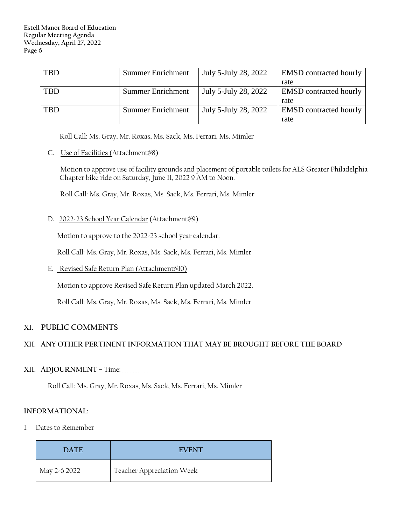| <b>TBD</b> | <b>Summer Enrichment</b> | July 5-July 28, 2022 | <b>EMSD</b> contracted hourly |
|------------|--------------------------|----------------------|-------------------------------|
|            |                          |                      | rate                          |
| <b>TBD</b> | <b>Summer Enrichment</b> | July 5-July 28, 2022 | <b>EMSD</b> contracted hourly |
|            |                          |                      | rate                          |
| <b>TBD</b> | <b>Summer Enrichment</b> | July 5-July 28, 2022 | <b>EMSD</b> contracted hourly |
|            |                          |                      | rate                          |

Roll Call: Ms. Gray, Mr. Roxas, Ms. Sack, Ms. Ferrari, Ms. Mimler

C. Use of Facilities (Attachment#8)

 Motion to approve use of facility grounds and placement of portable toilets for ALS Greater Philadelphia Chapter bike ride on Saturday, June 11, 2022 9 AM to Noon.

Roll Call: Ms. Gray, Mr. Roxas, Ms. Sack, Ms. Ferrari, Ms. Mimler

D. 2022-23 School Year Calendar (Attachment#9)

Motion to approve to the 2022-23 school year calendar.

Roll Call: Ms. Gray, Mr. Roxas, Ms. Sack, Ms. Ferrari, Ms. Mimler

E. Revised Safe Return Plan (Attachment#10)

Motion to approve Revised Safe Return Plan updated March 2022.

Roll Call: Ms. Gray, Mr. Roxas, Ms. Sack, Ms. Ferrari, Ms. Mimler

## **XI. PUBLIC COMMENTS**

## **XII. ANY OTHER PERTINENT INFORMATION THAT MAY BE BROUGHT BEFORE THE BOARD**

**XII.** ADJOURNMENT – Time:

Roll Call: Ms. Gray, Mr. Roxas, Ms. Sack, Ms. Ferrari, Ms. Mimler

## **INFORMATIONAL:**

1. Dates to Remember

| <b>DATE</b>  | <b>EVENT</b>              |
|--------------|---------------------------|
| May 2-6 2022 | Teacher Appreciation Week |